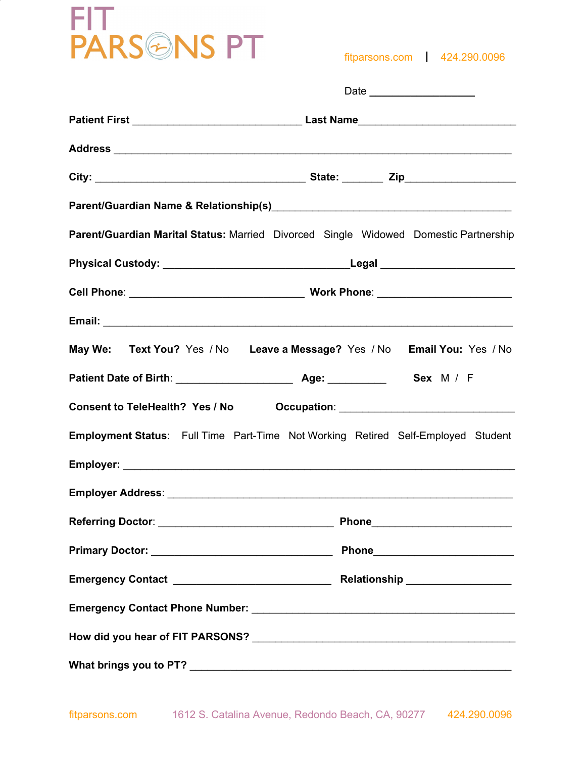# FIT<br>PARS<sup>@</sup>NS PT

fitparsons.com ┃ 424.290.0096

| Parent/Guardian Marital Status: Married Divorced Single Widowed Domestic Partnership    |  |  |  |  |
|-----------------------------------------------------------------------------------------|--|--|--|--|
|                                                                                         |  |  |  |  |
|                                                                                         |  |  |  |  |
|                                                                                         |  |  |  |  |
| May We: Text You? Yes / No Leave a Message? Yes / No Email You: Yes / No                |  |  |  |  |
|                                                                                         |  |  |  |  |
|                                                                                         |  |  |  |  |
| <b>Employment Status:</b> Full Time Part-Time Not Working Retired Self-Employed Student |  |  |  |  |
|                                                                                         |  |  |  |  |
|                                                                                         |  |  |  |  |
|                                                                                         |  |  |  |  |
|                                                                                         |  |  |  |  |
|                                                                                         |  |  |  |  |
|                                                                                         |  |  |  |  |
|                                                                                         |  |  |  |  |
|                                                                                         |  |  |  |  |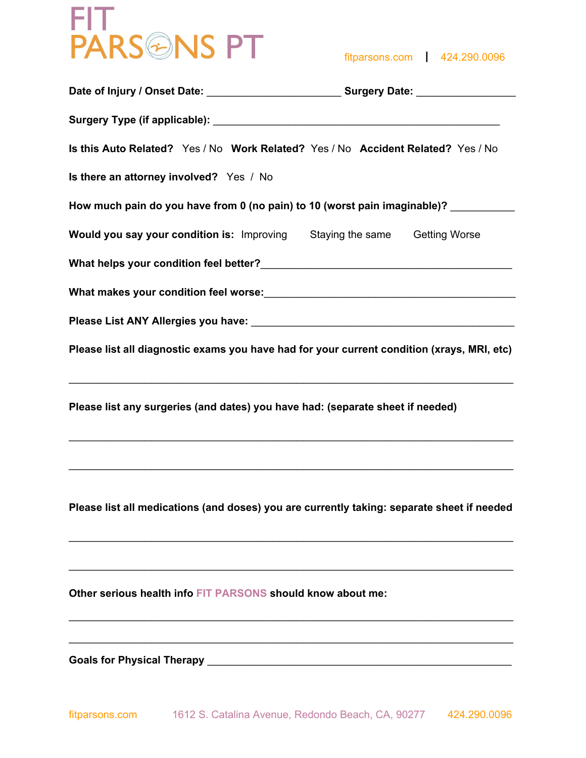

fitparsons.com ┃ 424.290.0096

| Is this Auto Related? Yes / No Work Related? Yes / No Accident Related? Yes / No           |  |  |  |  |
|--------------------------------------------------------------------------------------------|--|--|--|--|
| Is there an attorney involved? Yes / No                                                    |  |  |  |  |
| How much pain do you have from 0 (no pain) to 10 (worst pain imaginable)? ________         |  |  |  |  |
| <b>Would you say your condition is:</b> Improving Staying the same Getting Worse           |  |  |  |  |
|                                                                                            |  |  |  |  |
|                                                                                            |  |  |  |  |
|                                                                                            |  |  |  |  |
| Please list all diagnostic exams you have had for your current condition (xrays, MRI, etc) |  |  |  |  |
| Please list any surgeries (and dates) you have had: (separate sheet if needed)             |  |  |  |  |
| Please list all medications (and doses) you are currently taking: separate sheet if needed |  |  |  |  |
| Other serious health info FIT PARSONS should know about me:                                |  |  |  |  |
|                                                                                            |  |  |  |  |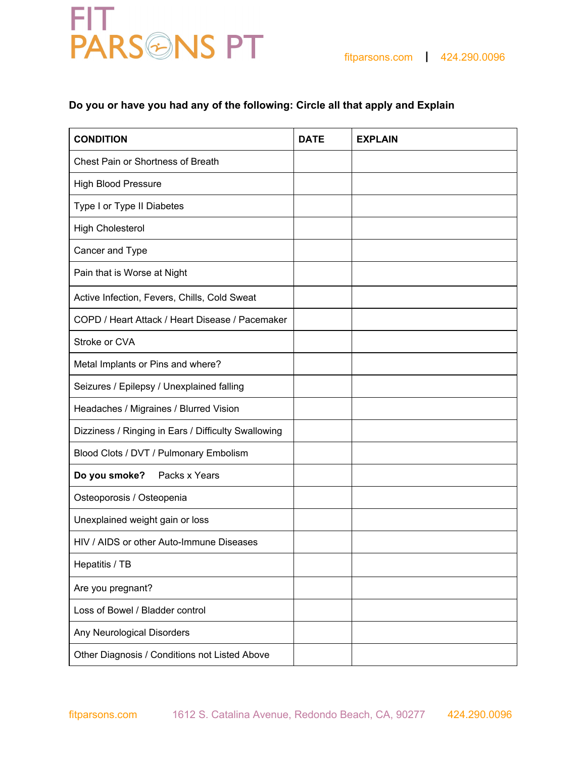

### **Do you or have you had any of the following: Circle all that apply and Explain**

| <b>CONDITION</b>                                    | <b>DATE</b> | <b>EXPLAIN</b> |
|-----------------------------------------------------|-------------|----------------|
| <b>Chest Pain or Shortness of Breath</b>            |             |                |
| <b>High Blood Pressure</b>                          |             |                |
| Type I or Type II Diabetes                          |             |                |
| <b>High Cholesterol</b>                             |             |                |
| Cancer and Type                                     |             |                |
| Pain that is Worse at Night                         |             |                |
| Active Infection, Fevers, Chills, Cold Sweat        |             |                |
| COPD / Heart Attack / Heart Disease / Pacemaker     |             |                |
| Stroke or CVA                                       |             |                |
| Metal Implants or Pins and where?                   |             |                |
| Seizures / Epilepsy / Unexplained falling           |             |                |
| Headaches / Migraines / Blurred Vision              |             |                |
| Dizziness / Ringing in Ears / Difficulty Swallowing |             |                |
| Blood Clots / DVT / Pulmonary Embolism              |             |                |
| Packs x Years<br>Do you smoke?                      |             |                |
| Osteoporosis / Osteopenia                           |             |                |
| Unexplained weight gain or loss                     |             |                |
| HIV / AIDS or other Auto-Immune Diseases            |             |                |
| Hepatitis / TB                                      |             |                |
| Are you pregnant?                                   |             |                |
| Loss of Bowel / Bladder control                     |             |                |
| Any Neurological Disorders                          |             |                |
| Other Diagnosis / Conditions not Listed Above       |             |                |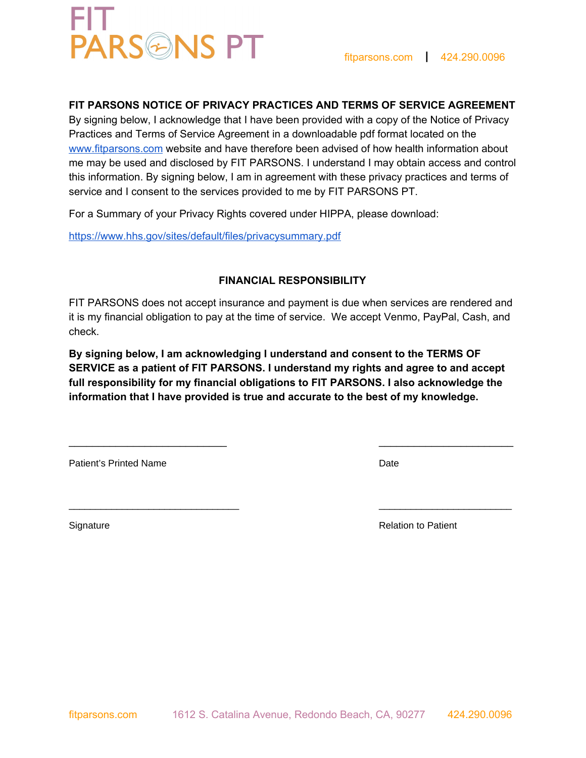### **PARSONS PT**

### **FIT PARSONS NOTICE OF PRIVACY PRACTICES AND TERMS OF SERVICE AGREEMENT**

By signing below, I acknowledge that I have been provided with a copy of the Notice of Privacy Practices and Terms of Service Agreement in a downloadable pdf format located on the [www.fitparsons.com](http://www.fitparsons.com/) website and have therefore been advised of how health information about me may be used and disclosed by FIT PARSONS. I understand I may obtain access and control this information. By signing below, I am in agreement with these privacy practices and terms of service and I consent to the services provided to me by FIT PARSONS PT.

For a Summary of your Privacy Rights covered under HIPPA, please download:

<https://www.hhs.gov/sites/default/files/privacysummary.pdf>

### **FINANCIAL RESPONSIBILITY**

FIT PARSONS does not accept insurance and payment is due when services are rendered and it is my financial obligation to pay at the time of service. We accept Venmo, PayPal, Cash, and check.

**By signing below, I am acknowledging I understand and consent to the TERMS OF SERVICE as a patient of FIT PARSONS. I understand my rights and agree to and accept full responsibility for my financial obligations to FIT PARSONS. I also acknowledge the information that I have provided is true and accurate to the best of my knowledge.**

 $\overline{\phantom{a}}$  , and the contract of the contract of the contract of the contract of the contract of the contract of the contract of the contract of the contract of the contract of the contract of the contract of the contrac

 $\overline{\phantom{a}}$  , and the contribution of the contribution of the contribution of the contribution of the contribution of the contribution of the contribution of the contribution of the contribution of the contribution of the

Patient's Printed Name **Date** Date **Date** Date **Date** 

Signature **Relation to Patient** School and School and School and School and Relation to Patient